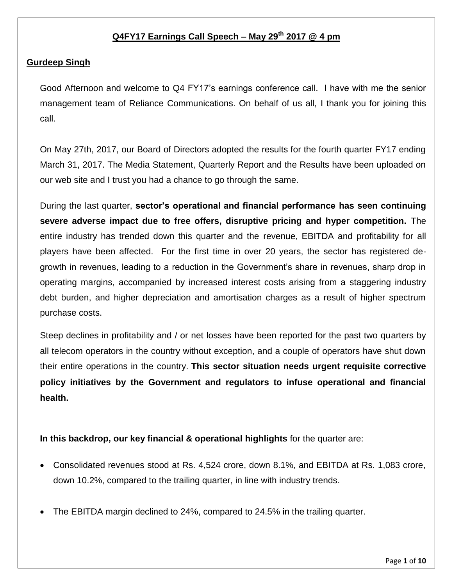# **Q4FY17 Earnings Call Speech – May 29th 2017 @ 4 pm**

#### **Gurdeep Singh**

Good Afternoon and welcome to Q4 FY17's earnings conference call. I have with me the senior management team of Reliance Communications. On behalf of us all, I thank you for joining this call.

On May 27th, 2017, our Board of Directors adopted the results for the fourth quarter FY17 ending March 31, 2017. The Media Statement, Quarterly Report and the Results have been uploaded on our web site and I trust you had a chance to go through the same.

During the last quarter, **sector's operational and financial performance has seen continuing severe adverse impact due to free offers, disruptive pricing and hyper competition.** The entire industry has trended down this quarter and the revenue, EBITDA and profitability for all players have been affected. For the first time in over 20 years, the sector has registered degrowth in revenues, leading to a reduction in the Government's share in revenues, sharp drop in operating margins, accompanied by increased interest costs arising from a staggering industry debt burden, and higher depreciation and amortisation charges as a result of higher spectrum purchase costs.

Steep declines in profitability and / or net losses have been reported for the past two quarters by all telecom operators in the country without exception, and a couple of operators have shut down their entire operations in the country. **This sector situation needs urgent requisite corrective policy initiatives by the Government and regulators to infuse operational and financial health.** 

# **In this backdrop, our key financial & operational highlights** for the quarter are:

- Consolidated revenues stood at Rs. 4,524 crore, down 8.1%, and EBITDA at Rs. 1,083 crore, down 10.2%, compared to the trailing quarter, in line with industry trends.
- The EBITDA margin declined to 24%, compared to 24.5% in the trailing quarter.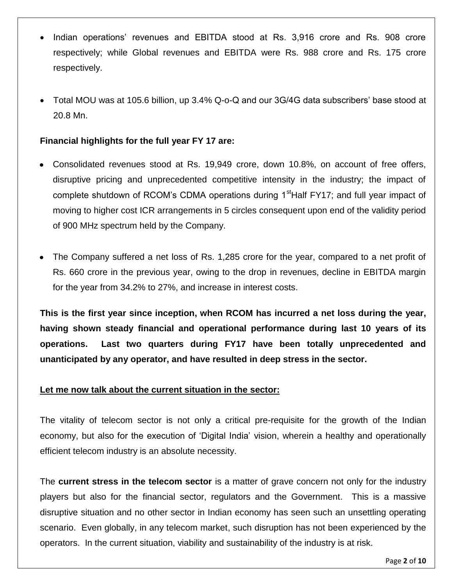- Indian operations' revenues and EBITDA stood at Rs. 3,916 crore and Rs. 908 crore respectively; while Global revenues and EBITDA were Rs. 988 crore and Rs. 175 crore respectively.
- Total MOU was at 105.6 billion, up 3.4% Q-o-Q and our 3G/4G data subscribers' base stood at 20.8 Mn.

# **Financial highlights for the full year FY 17 are:**

- Consolidated revenues stood at Rs. 19,949 crore, down 10.8%, on account of free offers, disruptive pricing and unprecedented competitive intensity in the industry; the impact of complete shutdown of RCOM's CDMA operations during 1<sup>st</sup>Half FY17; and full year impact of moving to higher cost ICR arrangements in 5 circles consequent upon end of the validity period of 900 MHz spectrum held by the Company.
- The Company suffered a net loss of Rs. 1,285 crore for the year, compared to a net profit of Rs. 660 crore in the previous year, owing to the drop in revenues, decline in EBITDA margin for the year from 34.2% to 27%, and increase in interest costs.

**This is the first year since inception, when RCOM has incurred a net loss during the year, having shown steady financial and operational performance during last 10 years of its operations. Last two quarters during FY17 have been totally unprecedented and unanticipated by any operator, and have resulted in deep stress in the sector.** 

# **Let me now talk about the current situation in the sector:**

The vitality of telecom sector is not only a critical pre-requisite for the growth of the Indian economy, but also for the execution of 'Digital India' vision, wherein a healthy and operationally efficient telecom industry is an absolute necessity.

The **current stress in the telecom sector** is a matter of grave concern not only for the industry players but also for the financial sector, regulators and the Government. This is a massive disruptive situation and no other sector in Indian economy has seen such an unsettling operating scenario. Even globally, in any telecom market, such disruption has not been experienced by the operators. In the current situation, viability and sustainability of the industry is at risk.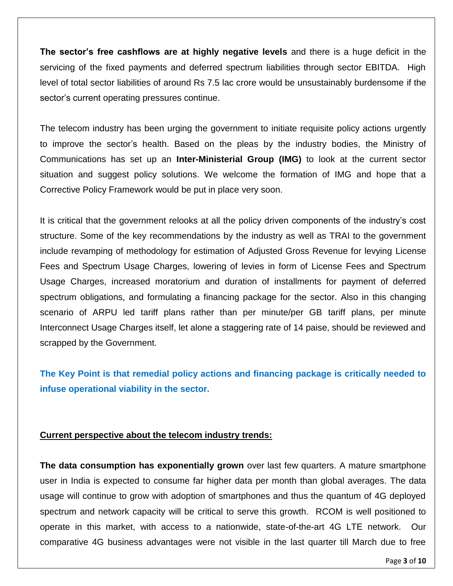**The sector's free cashflows are at highly negative levels** and there is a huge deficit in the servicing of the fixed payments and deferred spectrum liabilities through sector EBITDA. High level of total sector liabilities of around Rs 7.5 lac crore would be unsustainably burdensome if the sector's current operating pressures continue.

The telecom industry has been urging the government to initiate requisite policy actions urgently to improve the sector's health. Based on the pleas by the industry bodies, the Ministry of Communications has set up an **Inter-Ministerial Group (IMG)** to look at the current sector situation and suggest policy solutions. We welcome the formation of IMG and hope that a Corrective Policy Framework would be put in place very soon.

It is critical that the government relooks at all the policy driven components of the industry's cost structure. Some of the key recommendations by the industry as well as TRAI to the government include revamping of methodology for estimation of Adjusted Gross Revenue for levying License Fees and Spectrum Usage Charges, lowering of levies in form of License Fees and Spectrum Usage Charges, increased moratorium and duration of installments for payment of deferred spectrum obligations, and formulating a financing package for the sector. Also in this changing scenario of ARPU led tariff plans rather than per minute/per GB tariff plans, per minute Interconnect Usage Charges itself, let alone a staggering rate of 14 paise, should be reviewed and scrapped by the Government.

**The Key Point is that remedial policy actions and financing package is critically needed to infuse operational viability in the sector.** 

#### **Current perspective about the telecom industry trends:**

**The data consumption has exponentially grown** over last few quarters. A mature smartphone user in India is expected to consume far higher data per month than global averages. The data usage will continue to grow with adoption of smartphones and thus the quantum of 4G deployed spectrum and network capacity will be critical to serve this growth. RCOM is well positioned to operate in this market, with access to a nationwide, state-of-the-art 4G LTE network. Our comparative 4G business advantages were not visible in the last quarter till March due to free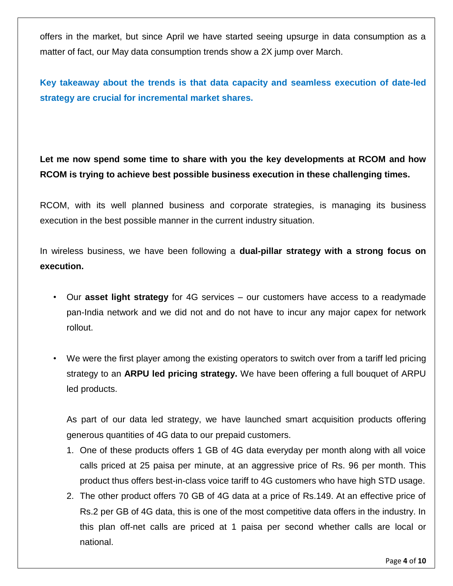offers in the market, but since April we have started seeing upsurge in data consumption as a matter of fact, our May data consumption trends show a 2X jump over March.

**Key takeaway about the trends is that data capacity and seamless execution of date-led strategy are crucial for incremental market shares.** 

**Let me now spend some time to share with you the key developments at RCOM and how RCOM is trying to achieve best possible business execution in these challenging times.** 

RCOM, with its well planned business and corporate strategies, is managing its business execution in the best possible manner in the current industry situation.

In wireless business, we have been following a **dual-pillar strategy with a strong focus on execution.**

- Our **asset light strategy** for 4G services our customers have access to a readymade pan-India network and we did not and do not have to incur any major capex for network rollout.
- We were the first player among the existing operators to switch over from a tariff led pricing strategy to an **ARPU led pricing strategy.** We have been offering a full bouquet of ARPU led products.

As part of our data led strategy, we have launched smart acquisition products offering generous quantities of 4G data to our prepaid customers.

- 1. One of these products offers 1 GB of 4G data everyday per month along with all voice calls priced at 25 paisa per minute, at an aggressive price of Rs. 96 per month. This product thus offers best-in-class voice tariff to 4G customers who have high STD usage.
- 2. The other product offers 70 GB of 4G data at a price of Rs.149. At an effective price of Rs.2 per GB of 4G data, this is one of the most competitive data offers in the industry. In this plan off-net calls are priced at 1 paisa per second whether calls are local or national.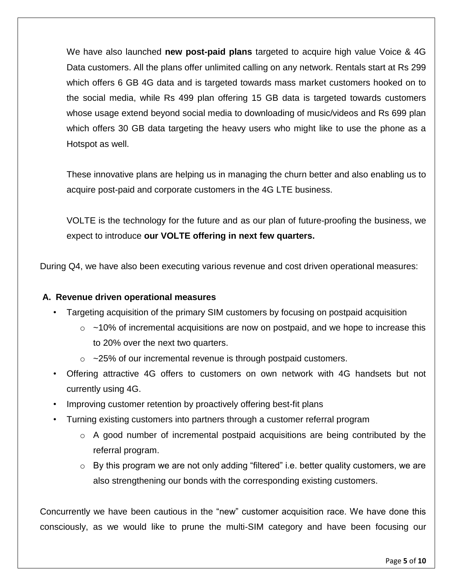We have also launched **new post-paid plans** targeted to acquire high value Voice & 4G Data customers. All the plans offer unlimited calling on any network. Rentals start at Rs 299 which offers 6 GB 4G data and is targeted towards mass market customers hooked on to the social media, while Rs 499 plan offering 15 GB data is targeted towards customers whose usage extend beyond social media to downloading of music/videos and Rs 699 plan which offers 30 GB data targeting the heavy users who might like to use the phone as a Hotspot as well.

These innovative plans are helping us in managing the churn better and also enabling us to acquire post-paid and corporate customers in the 4G LTE business.

VOLTE is the technology for the future and as our plan of future-proofing the business, we expect to introduce **our VOLTE offering in next few quarters.**

During Q4, we have also been executing various revenue and cost driven operational measures:

# **A. Revenue driven operational measures**

- Targeting acquisition of the primary SIM customers by focusing on postpaid acquisition
	- $\circ$  ~10% of incremental acquisitions are now on postpaid, and we hope to increase this to 20% over the next two quarters.
	- $\circ$  ~25% of our incremental revenue is through postpaid customers.
- Offering attractive 4G offers to customers on own network with 4G handsets but not currently using 4G.
- Improving customer retention by proactively offering best-fit plans
- Turning existing customers into partners through a customer referral program
	- o A good number of incremental postpaid acquisitions are being contributed by the referral program.
	- $\circ$  By this program we are not only adding "filtered" i.e. better quality customers, we are also strengthening our bonds with the corresponding existing customers.

Concurrently we have been cautious in the "new" customer acquisition race. We have done this consciously, as we would like to prune the multi-SIM category and have been focusing our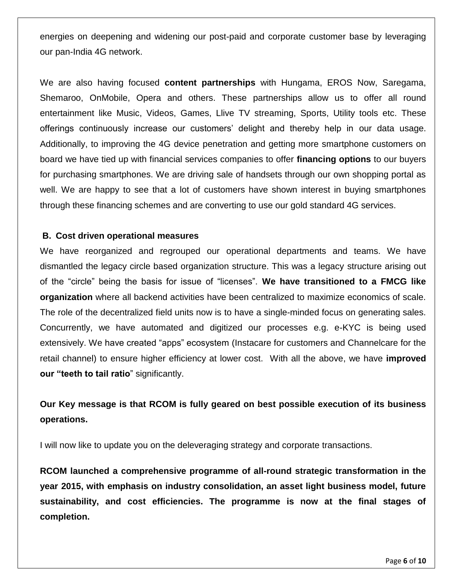energies on deepening and widening our post-paid and corporate customer base by leveraging our pan-India 4G network.

We are also having focused **content partnerships** with Hungama, EROS Now, Saregama, Shemaroo, OnMobile, Opera and others. These partnerships allow us to offer all round entertainment like Music, Videos, Games, Llive TV streaming, Sports, Utility tools etc. These offerings continuously increase our customers' delight and thereby help in our data usage. Additionally, to improving the 4G device penetration and getting more smartphone customers on board we have tied up with financial services companies to offer **financing options** to our buyers for purchasing smartphones. We are driving sale of handsets through our own shopping portal as well. We are happy to see that a lot of customers have shown interest in buying smartphones through these financing schemes and are converting to use our gold standard 4G services.

#### **B. Cost driven operational measures**

We have reorganized and regrouped our operational departments and teams. We have dismantled the legacy circle based organization structure. This was a legacy structure arising out of the "circle" being the basis for issue of "licenses". **We have transitioned to a FMCG like organization** where all backend activities have been centralized to maximize economics of scale. The role of the decentralized field units now is to have a single-minded focus on generating sales. Concurrently, we have automated and digitized our processes e.g. e-KYC is being used extensively. We have created "apps" ecosystem (Instacare for customers and Channelcare for the retail channel) to ensure higher efficiency at lower cost. With all the above, we have **improved our "teeth to tail ratio**" significantly.

# **Our Key message is that RCOM is fully geared on best possible execution of its business operations.**

I will now like to update you on the deleveraging strategy and corporate transactions.

**RCOM launched a comprehensive programme of all-round strategic transformation in the year 2015, with emphasis on industry consolidation, an asset light business model, future sustainability, and cost efficiencies. The programme is now at the final stages of completion.**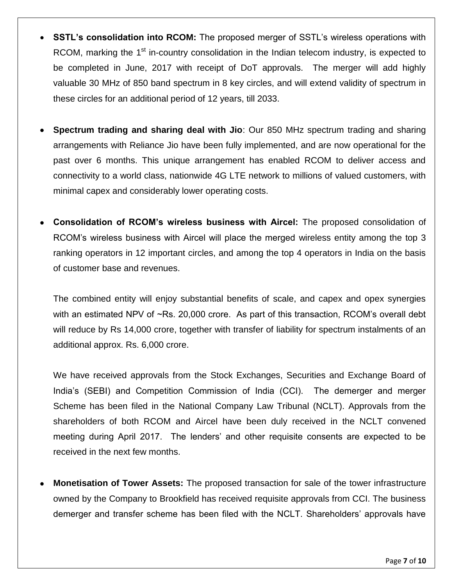- **SSTL's consolidation into RCOM:** The proposed merger of SSTL's wireless operations with RCOM, marking the 1<sup>st</sup> in-country consolidation in the Indian telecom industry, is expected to be completed in June, 2017 with receipt of DoT approvals. The merger will add highly valuable 30 MHz of 850 band spectrum in 8 key circles, and will extend validity of spectrum in these circles for an additional period of 12 years, till 2033.
- **Spectrum trading and sharing deal with Jio**: Our 850 MHz spectrum trading and sharing arrangements with Reliance Jio have been fully implemented, and are now operational for the past over 6 months. This unique arrangement has enabled RCOM to deliver access and connectivity to a world class, nationwide 4G LTE network to millions of valued customers, with minimal capex and considerably lower operating costs.
- **Consolidation of RCOM's wireless business with Aircel:** The proposed consolidation of RCOM's wireless business with Aircel will place the merged wireless entity among the top 3 ranking operators in 12 important circles, and among the top 4 operators in India on the basis of customer base and revenues.

The combined entity will enjoy substantial benefits of scale, and capex and opex synergies with an estimated NPV of ~Rs. 20,000 crore. As part of this transaction, RCOM's overall debt will reduce by Rs 14,000 crore, together with transfer of liability for spectrum instalments of an additional approx. Rs. 6,000 crore.

We have received approvals from the Stock Exchanges, Securities and Exchange Board of India's (SEBI) and Competition Commission of India (CCI). The demerger and merger Scheme has been filed in the National Company Law Tribunal (NCLT). Approvals from the shareholders of both RCOM and Aircel have been duly received in the NCLT convened meeting during April 2017. The lenders' and other requisite consents are expected to be received in the next few months.

 **Monetisation of Tower Assets:** The proposed transaction for sale of the tower infrastructure owned by the Company to Brookfield has received requisite approvals from CCI. The business demerger and transfer scheme has been filed with the NCLT. Shareholders' approvals have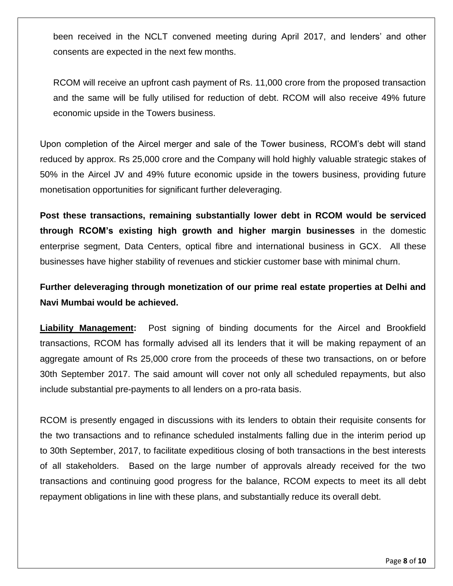been received in the NCLT convened meeting during April 2017, and lenders' and other consents are expected in the next few months.

RCOM will receive an upfront cash payment of Rs. 11,000 crore from the proposed transaction and the same will be fully utilised for reduction of debt. RCOM will also receive 49% future economic upside in the Towers business.

Upon completion of the Aircel merger and sale of the Tower business, RCOM's debt will stand reduced by approx. Rs 25,000 crore and the Company will hold highly valuable strategic stakes of 50% in the Aircel JV and 49% future economic upside in the towers business, providing future monetisation opportunities for significant further deleveraging.

**Post these transactions, remaining substantially lower debt in RCOM would be serviced through RCOM's existing high growth and higher margin businesses** in the domestic enterprise segment, Data Centers, optical fibre and international business in GCX. All these businesses have higher stability of revenues and stickier customer base with minimal churn.

**Further deleveraging through monetization of our prime real estate properties at Delhi and Navi Mumbai would be achieved.** 

**Liability Management:** Post signing of binding documents for the Aircel and Brookfield transactions, RCOM has formally advised all its lenders that it will be making repayment of an aggregate amount of Rs 25,000 crore from the proceeds of these two transactions, on or before 30th September 2017. The said amount will cover not only all scheduled repayments, but also include substantial pre-payments to all lenders on a pro-rata basis.

RCOM is presently engaged in discussions with its lenders to obtain their requisite consents for the two transactions and to refinance scheduled instalments falling due in the interim period up to 30th September, 2017, to facilitate expeditious closing of both transactions in the best interests of all stakeholders. Based on the large number of approvals already received for the two transactions and continuing good progress for the balance, RCOM expects to meet its all debt repayment obligations in line with these plans, and substantially reduce its overall debt.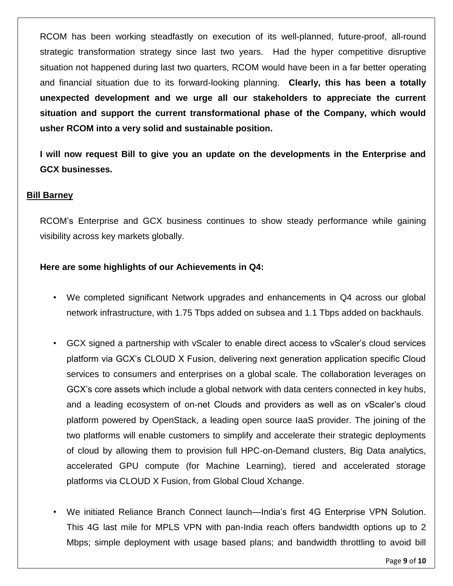RCOM has been working steadfastly on execution of its well-planned, future-proof, all-round strategic transformation strategy since last two years. Had the hyper competitive disruptive situation not happened during last two quarters, RCOM would have been in a far better operating and financial situation due to its forward-looking planning. **Clearly, this has been a totally unexpected development and we urge all our stakeholders to appreciate the current situation and support the current transformational phase of the Company, which would usher RCOM into a very solid and sustainable position.**

**I will now request Bill to give you an update on the developments in the Enterprise and GCX businesses.**

#### **Bill Barney**

RCOM's Enterprise and GCX business continues to show steady performance while gaining visibility across key markets globally.

#### **Here are some highlights of our Achievements in Q4:**

- We completed significant Network upgrades and enhancements in Q4 across our global network infrastructure, with 1.75 Tbps added on subsea and 1.1 Tbps added on backhauls.
- GCX signed a partnership with vScaler to enable direct access to vScaler's cloud services platform via GCX's CLOUD X Fusion, delivering next generation application specific Cloud services to consumers and enterprises on a global scale. The collaboration leverages on GCX's core assets which include a global network with data centers connected in key hubs, and a leading ecosystem of on-net Clouds and providers as well as on vScaler's cloud platform powered by OpenStack, a leading open source IaaS provider. The joining of the two platforms will enable customers to simplify and accelerate their strategic deployments of cloud by allowing them to provision full HPC-on-Demand clusters, Big Data analytics, accelerated GPU compute (for Machine Learning), tiered and accelerated storage platforms via CLOUD X Fusion, from Global Cloud Xchange.
- We initiated Reliance Branch Connect launch—India's first 4G Enterprise VPN Solution. This 4G last mile for MPLS VPN with pan-India reach offers bandwidth options up to 2 Mbps; simple deployment with usage based plans; and bandwidth throttling to avoid bill